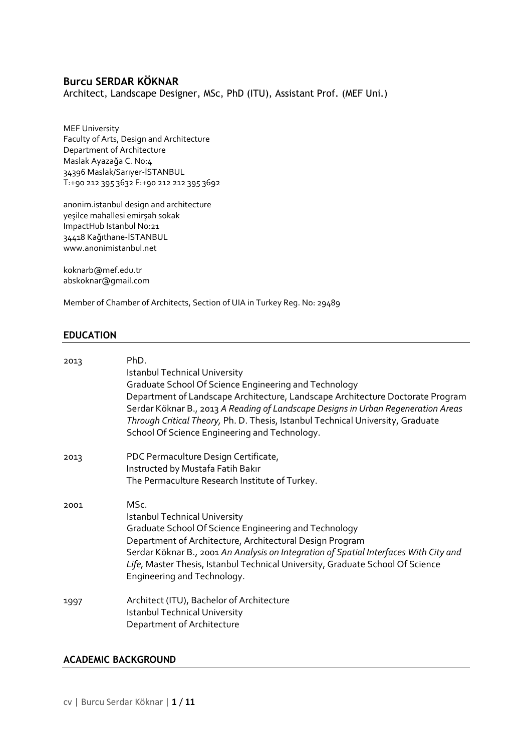# **Burcu SERDAR KÖKNAR**

Architect, Landscape Designer, MSc, PhD (ITU), Assistant Prof. (MEF Uni.)

MEF University Faculty of Arts, Design and Architecture Department of Architecture Maslak Ayazağa C. No:4 34396 Maslak/Sarıyer-İSTANBUL T:+90 212 395 3632 F:+90 212 212 395 3692

anonim.istanbul design and architecture yeşilce mahallesi emirşah sokak ImpactHub Istanbul No:21 34418 Kağıthane-İSTANBUL www.anonimistanbul.net

[koknarb@mef.edu.tr](mailto:abskoknar@gmail.com) [abskoknar@gmail.com](mailto:burcu.anonim@gmail.com)

Member of Chamber of Architects, Section of UIA in Turkey Reg. No: 29489

#### **EDUCATION**

| 2013 | PhD.<br><b>Istanbul Technical University</b><br>Graduate School Of Science Engineering and Technology<br>Department of Landscape Architecture, Landscape Architecture Doctorate Program<br>Serdar Köknar B., 2013 A Reading of Landscape Designs in Urban Regeneration Areas<br>Through Critical Theory, Ph. D. Thesis, Istanbul Technical University, Graduate<br>School Of Science Engineering and Technology. |
|------|------------------------------------------------------------------------------------------------------------------------------------------------------------------------------------------------------------------------------------------------------------------------------------------------------------------------------------------------------------------------------------------------------------------|
| 2013 | PDC Permaculture Design Certificate,<br>Instructed by Mustafa Fatih Bakır<br>The Permaculture Research Institute of Turkey.                                                                                                                                                                                                                                                                                      |
| 2001 | M <sub>Sc</sub><br><b>Istanbul Technical University</b><br>Graduate School Of Science Engineering and Technology<br>Department of Architecture, Architectural Design Program<br>Serdar Köknar B., 2001 An Analysis on Integration of Spatial Interfaces With City and<br>Life, Master Thesis, Istanbul Technical University, Graduate School Of Science<br>Engineering and Technology.                           |
| 1997 | Architect (ITU), Bachelor of Architecture<br><b>Istanbul Technical University</b><br>Department of Architecture                                                                                                                                                                                                                                                                                                  |

#### **ACADEMIC BACKGROUND**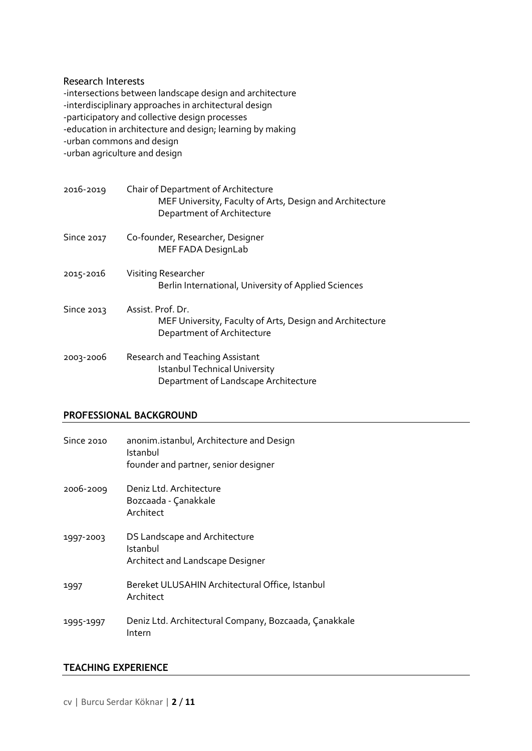#### Research Interests

-intersections between landscape design and architecture -interdisciplinary approaches in architectural design -participatory and collective design processes -education in architecture and design; learning by making -urban commons and design -urban agriculture and design

| 2016-2019  | Chair of Department of Architecture<br>MEF University, Faculty of Arts, Design and Architecture<br>Department of Architecture |
|------------|-------------------------------------------------------------------------------------------------------------------------------|
| Since 2017 | Co-founder, Researcher, Designer<br>MEF FADA DesignLab                                                                        |
| 2015-2016  | Visiting Researcher<br>Berlin International, University of Applied Sciences                                                   |
| Since 2013 | Assist. Prof. Dr.<br>MEF University, Faculty of Arts, Design and Architecture<br>Department of Architecture                   |
| 2003-2006  | Research and Teaching Assistant<br><b>Istanbul Technical University</b><br>Department of Landscape Architecture               |

## **PROFESSIONAL BACKGROUND**

| Since 2010 | anonim.istanbul, Architecture and Design<br>Istanbul<br>founder and partner, senior designer |
|------------|----------------------------------------------------------------------------------------------|
| 2006-2009  | Deniz Ltd. Architecture<br>Bozcaada - Çanakkale<br>Architect                                 |
| 1997-2003  | DS Landscape and Architecture<br>Istanbul<br>Architect and Landscape Designer                |
| 1997       | Bereket ULUSAHIN Architectural Office, Istanbul<br>Architect                                 |
| 1995-1997  | Deniz Ltd. Architectural Company, Bozcaada, Çanakkale<br>Intern                              |

## **TEACHING EXPERIENCE**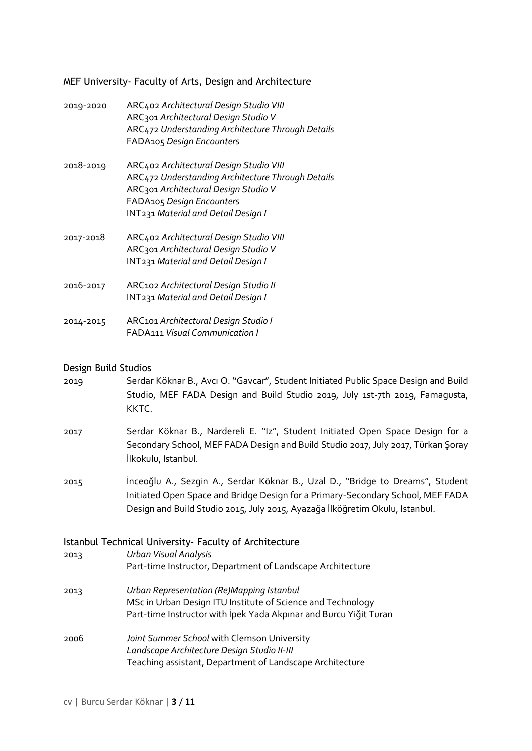MEF University- Faculty of Arts, Design and Architecture

| 2019-2020 | ARC402 Architectural Design Studio VIII<br>ARC301 Architectural Design Studio V<br>ARC472 Understanding Architecture Through Details<br>FADA105 Design Encounters                                               |
|-----------|-----------------------------------------------------------------------------------------------------------------------------------------------------------------------------------------------------------------|
| 2018-2019 | ARC402 Architectural Design Studio VIII<br>ARC472 Understanding Architecture Through Details<br>ARC301 Architectural Design Studio V<br>FADA105 Design Encounters<br><b>INT231 Material and Detail Design I</b> |
| 2017-2018 | ARC402 Architectural Design Studio VIII<br>ARC301 Architectural Design Studio V<br><b>INT231 Material and Detail Design I</b>                                                                                   |
| 2016-2017 | ARC102 Architectural Design Studio II<br><b>INT231 Material and Detail Design I</b>                                                                                                                             |
| 2014-2015 | ARC101 Architectural Design Studio I<br><b>FADA111 Visual Communication I</b>                                                                                                                                   |

#### Design Build Studios

- 2019 Serdar Köknar B., Avcı O. "Gavcar", Student Initiated Public Space Design and Build Studio, MEF FADA Design and Build Studio 2019, July 1st-7th 2019, Famagusta, KKTC.
- 2017 Serdar Köknar B., Nardereli E. "Iz", Student Initiated Open Space Design for a Secondary School, MEF FADA Design and Build Studio 2017, July 2017, Türkan Şoray İlkokulu, Istanbul.
- 2015 İnceoğlu A., Sezgin A., Serdar Köknar B., Uzal D., "Bridge to Dreams", Student Initiated Open Space and Bridge Design for a Primary-Secondary School, MEF FADA Design and Build Studio 2015, July 2015, Ayazağa İlköğretim Okulu, Istanbul.

#### Istanbul Technical University- Faculty of Architecture

- 2013 *Urban Visual Analysis* Part-time Instructor, Department of Landscape Architecture
- 2013 *Urban Representation (Re)Mapping Istanbul* MSc in Urban Design ITU Institute of Science and Technology Part-time Instructor with İpek Yada Akpınar and Burcu Yiğit Turan
- 2006 *Joint Summer School* with Clemson University *Landscape Architecture Design Studio II-III* Teaching assistant, Department of Landscape Architecture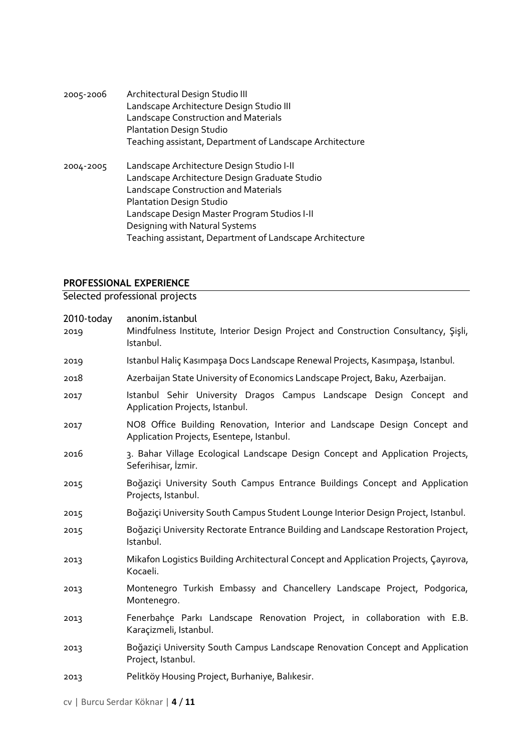2005-2006 Architectural Design Studio III Landscape Architecture Design Studio III Landscape Construction and Materials Plantation Design Studio Teaching assistant, Department of Landscape Architecture 2004-2005 Landscape Architecture Design Studio I-II Landscape Architecture Design Graduate Studio Landscape Construction and Materials Plantation Design Studio Landscape Design Master Program Studios I-II Designing with Natural Systems Teaching assistant, Department of Landscape Architecture

## **PROFESSIONAL EXPERIENCE**

Selected professional projects

| 2010-today<br>2019 | anonim.istanbul<br>Mindfulness Institute, Interior Design Project and Construction Consultancy, Sisli,<br>Istanbul.    |
|--------------------|------------------------------------------------------------------------------------------------------------------------|
| 2019               | Istanbul Haliç Kasımpaşa Docs Landscape Renewal Projects, Kasımpaşa, Istanbul.                                         |
| 2018               | Azerbaijan State University of Economics Landscape Project, Baku, Azerbaijan.                                          |
| 2017               | Istanbul Sehir University Dragos Campus Landscape Design Concept and<br>Application Projects, Istanbul.                |
| 2017               | NO8 Office Building Renovation, Interior and Landscape Design Concept and<br>Application Projects, Esentepe, Istanbul. |
| 2016               | 3. Bahar Village Ecological Landscape Design Concept and Application Projects,<br>Seferihisar, İzmir.                  |
| 2015               | Boğaziçi University South Campus Entrance Buildings Concept and Application<br>Projects, Istanbul.                     |
| 2015               | Boğaziçi University South Campus Student Lounge Interior Design Project, Istanbul.                                     |
| 2015               | Boğaziçi University Rectorate Entrance Building and Landscape Restoration Project,<br>Istanbul.                        |
| 2013               | Mikafon Logistics Building Architectural Concept and Application Projects, Çayırova,<br>Kocaeli.                       |
| 2013               | Montenegro Turkish Embassy and Chancellery Landscape Project, Podgorica,<br>Montenegro.                                |
| 2013               | Fenerbahçe Parkı Landscape Renovation Project, in collaboration with E.B.<br>Karaçizmeli, Istanbul.                    |
| 2013               | Boğaziçi University South Campus Landscape Renovation Concept and Application<br>Project, Istanbul.                    |
| 2013               | Pelitköy Housing Project, Burhaniye, Balıkesir.                                                                        |

cv | Burcu Serdar Köknar | **4** / **11**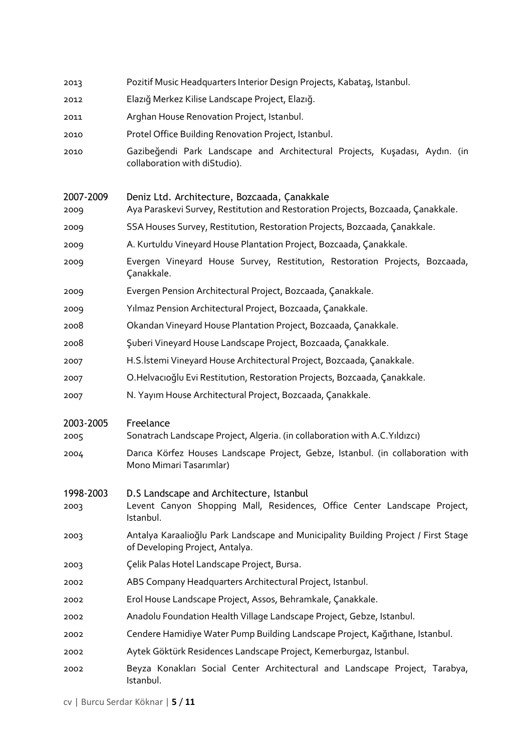| 2013              | Pozitif Music Headquarters Interior Design Projects, Kabataş, Istanbul.                                                            |
|-------------------|------------------------------------------------------------------------------------------------------------------------------------|
| 2012              | Elazığ Merkez Kilise Landscape Project, Elazığ.                                                                                    |
| 2011              | Arghan House Renovation Project, Istanbul.                                                                                         |
| 2010              | Protel Office Building Renovation Project, Istanbul.                                                                               |
| 2010              | Gazibeğendi Park Landscape and Architectural Projects, Kuşadası, Aydın. (in<br>collaboration with diStudio).                       |
| 2007-2009<br>2009 | Deniz Ltd. Architecture, Bozcaada, Çanakkale<br>Aya Paraskevi Survey, Restitution and Restoration Projects, Bozcaada, Çanakkale.   |
| 2009              | SSA Houses Survey, Restitution, Restoration Projects, Bozcaada, Çanakkale.                                                         |
| 2009              | A. Kurtuldu Vineyard House Plantation Project, Bozcaada, Çanakkale.                                                                |
| 2009              | Evergen Vineyard House Survey, Restitution, Restoration Projects, Bozcaada,<br>Çanakkale.                                          |
| 2009              | Evergen Pension Architectural Project, Bozcaada, Çanakkale.                                                                        |
| 2009              | Yılmaz Pension Architectural Project, Bozcaada, Çanakkale.                                                                         |
| 2008              | Okandan Vineyard House Plantation Project, Bozcaada, Çanakkale.                                                                    |
| 2008              | Şuberi Vineyard House Landscape Project, Bozcaada, Çanakkale.                                                                      |
| 2007              | H.S. İstemi Vineyard House Architectural Project, Bozcaada, Çanakkale.                                                             |
| 2007              | O.Helvacioğlu Evi Restitution, Restoration Projects, Bozcaada, Çanakkale.                                                          |
| 2007              | N. Yayım House Architectural Project, Bozcaada, Çanakkale.                                                                         |
| 2003-2005<br>2005 | Freelance<br>Sonatrach Landscape Project, Algeria. (in collaboration with A.C. Yıldızcı)                                           |
| 2004              | Darica Körfez Houses Landscape Project, Gebze, Istanbul. (in collaboration with<br>Mono Mimari Tasarımlar)                         |
| 1998-2003<br>2003 | D.S Landscape and Architecture, Istanbul<br>Levent Canyon Shopping Mall, Residences, Office Center Landscape Project,<br>Istanbul. |
| 2003              | Antalya Karaalioğlu Park Landscape and Municipality Building Project / First Stage<br>of Developing Project, Antalya.              |
| 2003              | Çelik Palas Hotel Landscape Project, Bursa.                                                                                        |
| 2002              | ABS Company Headquarters Architectural Project, Istanbul.                                                                          |
| 2002              | Erol House Landscape Project, Assos, Behramkale, Çanakkale.                                                                        |
| 2002              | Anadolu Foundation Health Village Landscape Project, Gebze, Istanbul.                                                              |
| 2002              | Cendere Hamidiye Water Pump Building Landscape Project, Kağıthane, Istanbul.                                                       |
| 2002              | Aytek Göktürk Residences Landscape Project, Kemerburgaz, Istanbul.                                                                 |
| 2002              | Beyza Konakları Social Center Architectural and Landscape Project, Tarabya,                                                        |

cv | Burcu Serdar Köknar | **5** / **11**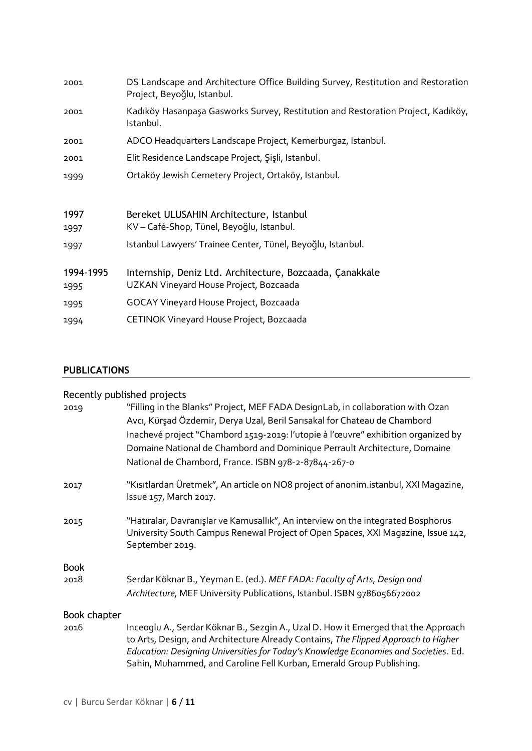| 2001              | DS Landscape and Architecture Office Building Survey, Restitution and Restoration<br>Project, Beyoğlu, Istanbul. |
|-------------------|------------------------------------------------------------------------------------------------------------------|
| 2001              | Kadıköy Hasanpaşa Gasworks Survey, Restitution and Restoration Project, Kadıköy,<br>Istanbul.                    |
| 2001              | ADCO Headquarters Landscape Project, Kemerburgaz, Istanbul.                                                      |
| 2001              | Elit Residence Landscape Project, Şişli, Istanbul.                                                               |
| 1999              | Ortaköy Jewish Cemetery Project, Ortaköy, Istanbul.                                                              |
| 1997              | Bereket ULUSAHIN Architecture, Istanbul<br>KV – Café-Shop, Tünel, Beyoğlu, Istanbul.                             |
| 1997              |                                                                                                                  |
| 1997              | Istanbul Lawyers' Trainee Center, Tünel, Beyoğlu, Istanbul.                                                      |
| 1994-1995<br>1995 | Internship, Deniz Ltd. Architecture, Bozcaada, Çanakkale<br>UZKAN Vineyard House Project, Bozcaada               |
| 1995              | <b>GOCAY Vineyard House Project, Bozcaada</b>                                                                    |
| 1994              | CETINOK Vineyard House Project, Bozcaada                                                                         |
|                   |                                                                                                                  |

# **PUBLICATIONS**

|              | Recently published projects                                                                                                                                                                                                                                                                                                                                                            |  |  |
|--------------|----------------------------------------------------------------------------------------------------------------------------------------------------------------------------------------------------------------------------------------------------------------------------------------------------------------------------------------------------------------------------------------|--|--|
| 2019         | "Filling in the Blanks" Project, MEF FADA DesignLab, in collaboration with Ozan<br>Avcı, Kürşad Özdemir, Derya Uzal, Beril Sarısakal for Chateau de Chambord<br>Inachevé project "Chambord 1519-2019: l'utopie à l'œuvre" exhibition organized by<br>Domaine National de Chambord and Dominique Perrault Architecture, Domaine<br>National de Chambord, France. ISBN 978-2-87844-267-0 |  |  |
| 2017         | "Kisitlardan Üretmek", An article on NO8 project of anonim.istanbul, XXI Magazine,<br>Issue 157, March 2017.                                                                                                                                                                                                                                                                           |  |  |
| 2015         | "Hatıralar, Davranışlar ve Kamusallık", An interview on the integrated Bosphorus<br>University South Campus Renewal Project of Open Spaces, XXI Magazine, Issue 142,<br>September 2019.                                                                                                                                                                                                |  |  |
| <b>Book</b>  |                                                                                                                                                                                                                                                                                                                                                                                        |  |  |
| 2018         | Serdar Köknar B., Yeyman E. (ed.). MEF FADA: Faculty of Arts, Design and                                                                                                                                                                                                                                                                                                               |  |  |
|              | Architecture, MEF University Publications, Istanbul. ISBN 9786056672002                                                                                                                                                                                                                                                                                                                |  |  |
| Book chapter |                                                                                                                                                                                                                                                                                                                                                                                        |  |  |
| 2016         | Inceoglu A., Serdar Köknar B., Sezgin A., Uzal D. How it Emerged that the Approach<br>to Arts, Design, and Architecture Already Contains, The Flipped Approach to Higher<br>Education: Designing Universities for Today's Knowledge Economies and Societies. Ed.<br>Sahin, Muhammed, and Caroline Fell Kurban, Emerald Group Publishing.                                               |  |  |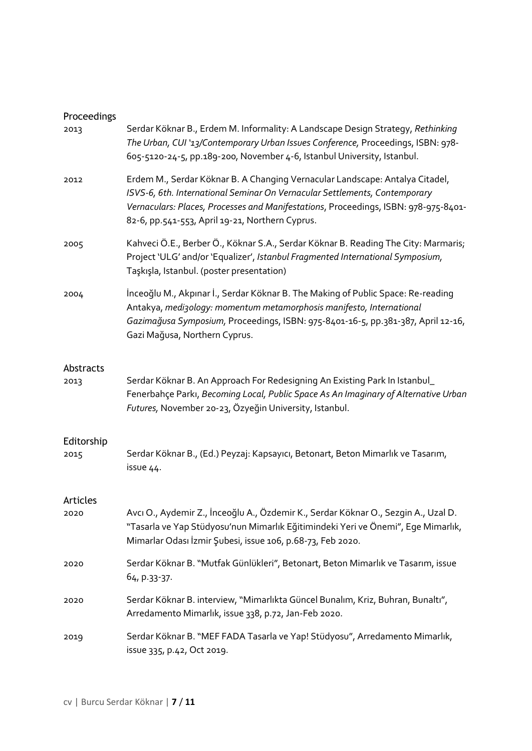# Proceedings

| 2013               | Serdar Köknar B., Erdem M. Informality: A Landscape Design Strategy, Rethinking<br>The Urban, CUI '13/Contemporary Urban Issues Conference, Proceedings, ISBN: 978-<br>605-5120-24-5, pp.189-200, November 4-6, Istanbul University, Istanbul.                                                       |
|--------------------|------------------------------------------------------------------------------------------------------------------------------------------------------------------------------------------------------------------------------------------------------------------------------------------------------|
| 2012               | Erdem M., Serdar Köknar B. A Changing Vernacular Landscape: Antalya Citadel,<br>ISVS-6, 6th. International Seminar On Vernacular Settlements, Contemporary<br>Vernaculars: Places, Processes and Manifestations, Proceedings, ISBN: 978-975-8401-<br>82-6, pp.541-553, April 19-21, Northern Cyprus. |
| 2005               | Kahveci Ö.E., Berber Ö., Köknar S.A., Serdar Köknar B. Reading The City: Marmaris;<br>Project 'ULG' and/or 'Equalizer', Istanbul Fragmented International Symposium,<br>Taşkışla, Istanbul. (poster presentation)                                                                                    |
| 2004               | İnceoğlu M., Akpınar İ., Serdar Köknar B. The Making of Public Space: Re-reading<br>Antakya, medizology: momentum metamorphosis manifesto, International<br>Gazimağusa Symposium, Proceedings, ISBN: 975-8401-16-5, pp.381-387, April 12-16,<br>Gazi Mağusa, Northern Cyprus.                        |
| Abstracts<br>2013  | Serdar Köknar B. An Approach For Redesigning An Existing Park In Istanbul_<br>Fenerbahçe Parkı, Becoming Local, Public Space As An Imaginary of Alternative Urban<br>Futures, November 20-23, Özyeğin University, Istanbul.                                                                          |
| Editorship<br>2015 | Serdar Köknar B., (Ed.) Peyzaj: Kapsayıcı, Betonart, Beton Mimarlık ve Tasarım,<br>issue 44.                                                                                                                                                                                                         |
| Articles<br>2020   | Avcı O., Aydemir Z., İnceoğlu A., Özdemir K., Serdar Köknar O., Sezgin A., Uzal D.<br>"Tasarla ve Yap Stüdyosu'nun Mimarlık Eğitimindeki Yeri ve Önemi", Ege Mimarlık,<br>Mimarlar Odası İzmir Şubesi, issue 106, p.68-73, Feb 2020.                                                                 |
| 2020               | Serdar Köknar B. "Mutfak Günlükleri", Betonart, Beton Mimarlık ve Tasarım, issue<br>64, p.33-37.                                                                                                                                                                                                     |
| 2020               | Serdar Köknar B. interview, "Mimarlıkta Güncel Bunalım, Kriz, Buhran, Bunaltı",<br>Arredamento Mimarlık, issue 338, p.72, Jan-Feb 2020.                                                                                                                                                              |
| 2019               | Serdar Köknar B. "MEF FADA Tasarla ve Yap! Stüdyosu", Arredamento Mimarlık,<br>issue 335, p.42, Oct 2019.                                                                                                                                                                                            |
|                    |                                                                                                                                                                                                                                                                                                      |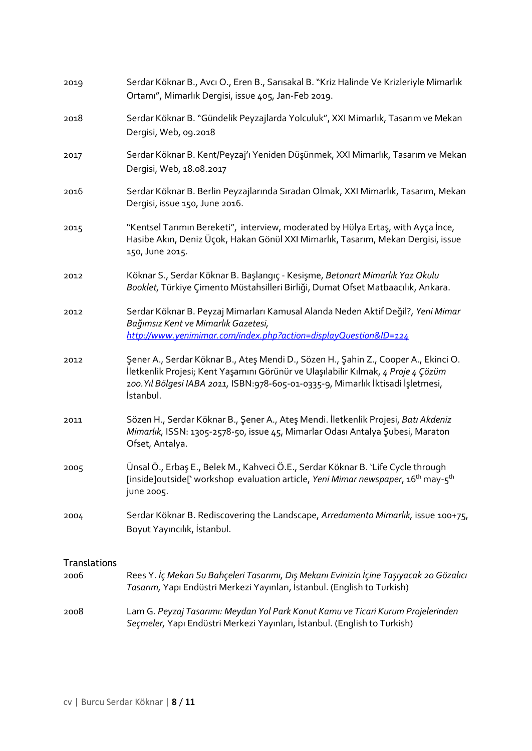| 2019                        | Serdar Köknar B., Avcı O., Eren B., Sarısakal B. "Kriz Halinde Ve Krizleriyle Mimarlık<br>Ortamı", Mimarlık Dergisi, issue 405, Jan-Feb 2019.                                                                                                                             |
|-----------------------------|---------------------------------------------------------------------------------------------------------------------------------------------------------------------------------------------------------------------------------------------------------------------------|
| 2018                        | Serdar Köknar B. "Gündelik Peyzajlarda Yolculuk", XXI Mimarlık, Tasarım ve Mekan<br>Dergisi, Web, 09.2018                                                                                                                                                                 |
| 2017                        | Serdar Köknar B. Kent/Peyzaj'ı Yeniden Düşünmek, XXI Mimarlık, Tasarım ve Mekan<br>Dergisi, Web, 18.08.2017                                                                                                                                                               |
| 2016                        | Serdar Köknar B. Berlin Peyzajlarında Sıradan Olmak, XXI Mimarlık, Tasarım, Mekan<br>Dergisi, issue 150, June 2016.                                                                                                                                                       |
| 2015                        | "Kentsel Tarımın Bereketi", interview, moderated by Hülya Ertaş, with Ayça İnce,<br>Hasibe Akın, Deniz Üçok, Hakan Gönül XXI Mimarlık, Tasarım, Mekan Dergisi, issue<br>150, June 2015.                                                                                   |
| 2012                        | Köknar S., Serdar Köknar B. Başlangıç - Kesişme, Betonart Mimarlık Yaz Okulu<br>Booklet, Türkiye Çimento Müstahsilleri Birliği, Dumat Ofset Matbaacılık, Ankara.                                                                                                          |
| 2012                        | Serdar Köknar B. Peyzaj Mimarları Kamusal Alanda Neden Aktif Değil?, Yeni Mimar<br>Bağımsız Kent ve Mimarlık Gazetesi,<br>http://www.yenimimar.com/index.php?action=displayQuestion&ID=124                                                                                |
| 2012                        | Şener A., Serdar Köknar B., Ateş Mendi D., Sözen H., Şahin Z., Cooper A., Ekinci O.<br>İletkenlik Projesi; Kent Yaşamını Görünür ve Ulaşılabilir Kılmak, 4 Proje 4 Çözüm<br>100. Yıl Bölgesi IABA 2011, ISBN:978-605-01-0335-9, Mimarlık İktisadi İşletmesi,<br>İstanbul. |
| 2011                        | Sözen H., Serdar Köknar B., Şener A., Ateş Mendi. İletkenlik Projesi, Batı Akdeniz<br>Mimarlık, ISSN: 1305-2578-50, issue 45, Mimarlar Odası Antalya Şubesi, Maraton<br>Ofset, Antalya.                                                                                   |
| 2005                        | Ünsal Ö., Erbaş E., Belek M., Kahveci Ö.E., Serdar Köknar B. 'Life Cycle through<br>[inside]outside['workshop evaluation article, Yeni Mimar newspaper, 16 <sup>th</sup> may-5 <sup>th</sup><br>june 2005.                                                                |
| 2004                        | Serdar Köknar B. Rediscovering the Landscape, Arredamento Mimarlık, issue 100+75,<br>Boyut Yayıncılık, İstanbul.                                                                                                                                                          |
| <b>Translations</b><br>2006 | Rees Y. İç Mekan Su Bahçeleri Tasarımı, Dış Mekanı Evinizin İçine Taşıyacak 20 Gözalıcı<br>Tasarım, Yapı Endüstri Merkezi Yayınları, İstanbul. (English to Turkish)                                                                                                       |
| 2008                        | Lam G. Peyzaj Tasarımı: Meydan Yol Park Konut Kamu ve Ticari Kurum Projelerinden<br>Seçmeler, Yapı Endüstri Merkezi Yayınları, İstanbul. (English to Turkish)                                                                                                             |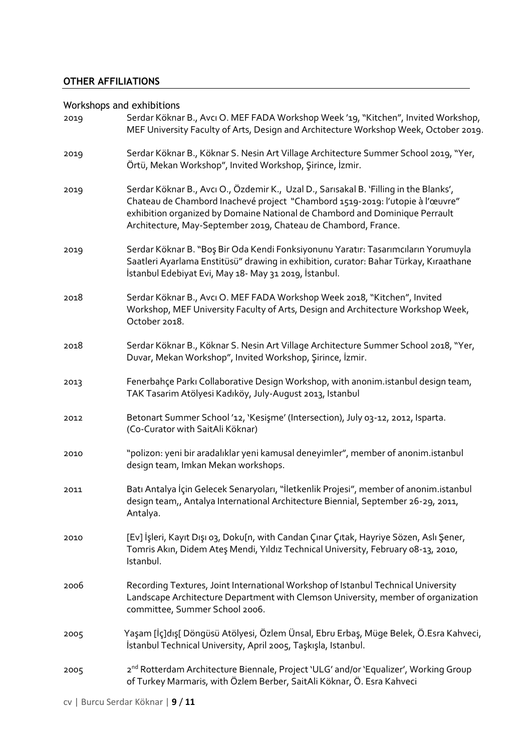## **OTHER AFFILIATIONS**

## Workshops and exhibitions

| 2019 | Serdar Köknar B., Avcı O. MEF FADA Workshop Week '19, "Kitchen", Invited Workshop,<br>MEF University Faculty of Arts, Design and Architecture Workshop Week, October 2019.                                                                                                                                              |
|------|-------------------------------------------------------------------------------------------------------------------------------------------------------------------------------------------------------------------------------------------------------------------------------------------------------------------------|
| 2019 | Serdar Köknar B., Köknar S. Nesin Art Village Architecture Summer School 2019, "Yer,<br>Örtü, Mekan Workshop", Invited Workshop, Şirince, İzmir.                                                                                                                                                                        |
| 2019 | Serdar Köknar B., Avcı O., Özdemir K., Uzal D., Sarısakal B. 'Filling in the Blanks',<br>Chateau de Chambord Inachevé project "Chambord 1519-2019: l'utopie à l'œuvre"<br>exhibition organized by Domaine National de Chambord and Dominique Perrault<br>Architecture, May-September 2019, Chateau de Chambord, France. |
| 2019 | Serdar Köknar B. "Boş Bir Oda Kendi Fonksiyonunu Yaratır: Tasarımcıların Yorumuyla<br>Saatleri Ayarlama Enstitüsü" drawing in exhibition, curator: Bahar Türkay, Kıraathane<br>İstanbul Edebiyat Evi, May 18- May 31 2019, İstanbul.                                                                                    |
| 2018 | Serdar Köknar B., Avcı O. MEF FADA Workshop Week 2018, "Kitchen", Invited<br>Workshop, MEF University Faculty of Arts, Design and Architecture Workshop Week,<br>October 2018.                                                                                                                                          |
| 2018 | Serdar Köknar B., Köknar S. Nesin Art Village Architecture Summer School 2018, "Yer,<br>Duvar, Mekan Workshop", Invited Workshop, Şirince, İzmir.                                                                                                                                                                       |
| 2013 | Fenerbahçe Parkı Collaborative Design Workshop, with anonim.istanbul design team,<br>TAK Tasarim Atölyesi Kadıköy, July-August 2013, Istanbul                                                                                                                                                                           |
| 2012 | Betonart Summer School '12, 'Kesişme' (Intersection), July 03-12, 2012, Isparta.<br>(Co-Curator with SaitAli Köknar)                                                                                                                                                                                                    |
| 2010 | "polizon: yeni bir aradalıklar yeni kamusal deneyimler", member of anonim.istanbul<br>design team, Imkan Mekan workshops.                                                                                                                                                                                               |
| 2011 | Batı Antalya İçin Gelecek Senaryoları, "İletkenlik Projesi", member of anonim.istanbul<br>design team,, Antalya International Architecture Biennial, September 26-29, 2011,<br>Antalya.                                                                                                                                 |
| 2010 | [Ev] İşleri, Kayıt Dışı o3, Doku[n, with Candan Çınar Çıtak, Hayriye Sözen, Aslı Şener,<br>Tomris Akın, Didem Ateş Mendi, Yıldız Technical University, February 08-13, 2010,<br>Istanbul.                                                                                                                               |
| 2006 | Recording Textures, Joint International Workshop of Istanbul Technical University<br>Landscape Architecture Department with Clemson University, member of organization<br>committee, Summer School 2006.                                                                                                                |
| 2005 | Yaşam [İç]dış[ Döngüsü Atölyesi, Özlem Ünsal, Ebru Erbaş, Müge Belek, Ö.Esra Kahveci,<br>İstanbul Technical University, April 2005, Taşkışla, Istanbul.                                                                                                                                                                 |
| 2005 | 2 <sup>nd</sup> Rotterdam Architecture Biennale, Project 'ULG' and/or 'Equalizer', Working Group<br>of Turkey Marmaris, with Özlem Berber, SaitAli Köknar, Ö. Esra Kahveci                                                                                                                                              |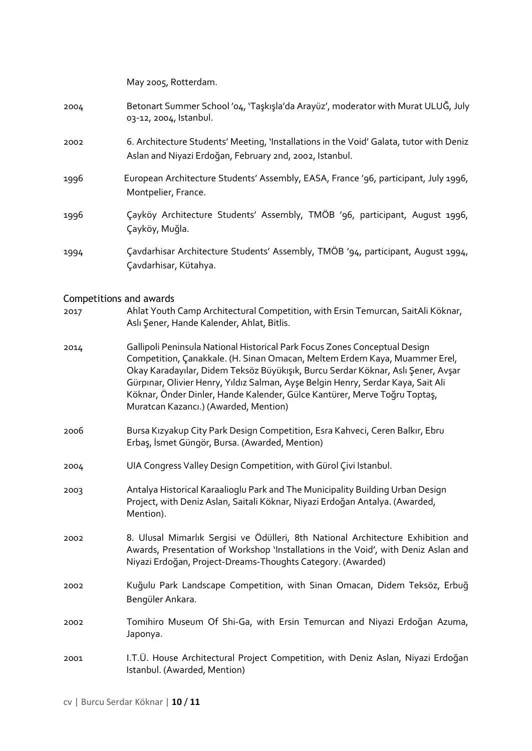|                                | May 2005, Rotterdam.                                                                                                                                                                                                                                                                                                                                                                                                                                   |
|--------------------------------|--------------------------------------------------------------------------------------------------------------------------------------------------------------------------------------------------------------------------------------------------------------------------------------------------------------------------------------------------------------------------------------------------------------------------------------------------------|
| 2004                           | Betonart Summer School '04, 'Taşkışla'da Arayüz', moderator with Murat ULUĞ, July<br>03-12, 2004, Istanbul.                                                                                                                                                                                                                                                                                                                                            |
| 2002                           | 6. Architecture Students' Meeting, 'Installations in the Void' Galata, tutor with Deniz<br>Aslan and Niyazi Erdoğan, February 2nd, 2002, Istanbul.                                                                                                                                                                                                                                                                                                     |
| 1996                           | European Architecture Students' Assembly, EASA, France '96, participant, July 1996,<br>Montpelier, France.                                                                                                                                                                                                                                                                                                                                             |
| 1996                           | Çayköy Architecture Students' Assembly, TMÖB '96, participant, August 1996,<br>Çayköy, Muğla.                                                                                                                                                                                                                                                                                                                                                          |
| 1994                           | Çavdarhisar Architecture Students' Assembly, TMÖB '94, participant, August 1994,<br>Çavdarhisar, Kütahya.                                                                                                                                                                                                                                                                                                                                              |
| <b>Competitions and awards</b> |                                                                                                                                                                                                                                                                                                                                                                                                                                                        |
| 2017                           | Ahlat Youth Camp Architectural Competition, with Ersin Temurcan, SaitAli Köknar,<br>Aslı Şener, Hande Kalender, Ahlat, Bitlis.                                                                                                                                                                                                                                                                                                                         |
| 2014                           | Gallipoli Peninsula National Historical Park Focus Zones Conceptual Design<br>Competition, Çanakkale. (H. Sinan Omacan, Meltem Erdem Kaya, Muammer Erel,<br>Okay Karadayılar, Didem Teksöz Büyükışık, Burcu Serdar Köknar, Aslı Şener, Avşar<br>Gürpınar, Olivier Henry, Yıldız Salman, Ayşe Belgin Henry, Serdar Kaya, Sait Ali<br>Köknar, Önder Dinler, Hande Kalender, Gülce Kantürer, Merve Toğru Toptaş,<br>Muratcan Kazanci.) (Awarded, Mention) |
| 2006                           | Bursa Kızyakup City Park Design Competition, Esra Kahveci, Ceren Balkır, Ebru<br>Erbaş, İsmet Güngör, Bursa. (Awarded, Mention)                                                                                                                                                                                                                                                                                                                        |
| 2004                           | UIA Congress Valley Design Competition, with Gürol Çivi Istanbul.                                                                                                                                                                                                                                                                                                                                                                                      |
| 2003                           | Antalya Historical Karaalioglu Park and The Municipality Building Urban Design<br>Project, with Deniz Aslan, Saitali Köknar, Niyazi Erdoğan Antalya. (Awarded,<br>Mention).                                                                                                                                                                                                                                                                            |
| 2002                           | 8. Ulusal Mimarlık Sergisi ve Ödülleri, 8th National Architecture Exhibition and<br>Awards, Presentation of Workshop 'Installations in the Void', with Deniz Aslan and<br>Niyazi Erdoğan, Project-Dreams-Thoughts Category. (Awarded)                                                                                                                                                                                                                  |
| 2002                           | Kuğulu Park Landscape Competition, with Sinan Omacan, Didem Teksöz, Erbuğ<br>Bengüler Ankara.                                                                                                                                                                                                                                                                                                                                                          |
| 2002                           | Tomihiro Museum Of Shi-Ga, with Ersin Temurcan and Niyazi Erdoğan Azuma,<br>Japonya.                                                                                                                                                                                                                                                                                                                                                                   |
|                                |                                                                                                                                                                                                                                                                                                                                                                                                                                                        |

2001 I.T.Ü . House Architectural Project Competition, with Deniz Aslan, Niyazi Erdoğan Istanbul. (Awarded, Mention)